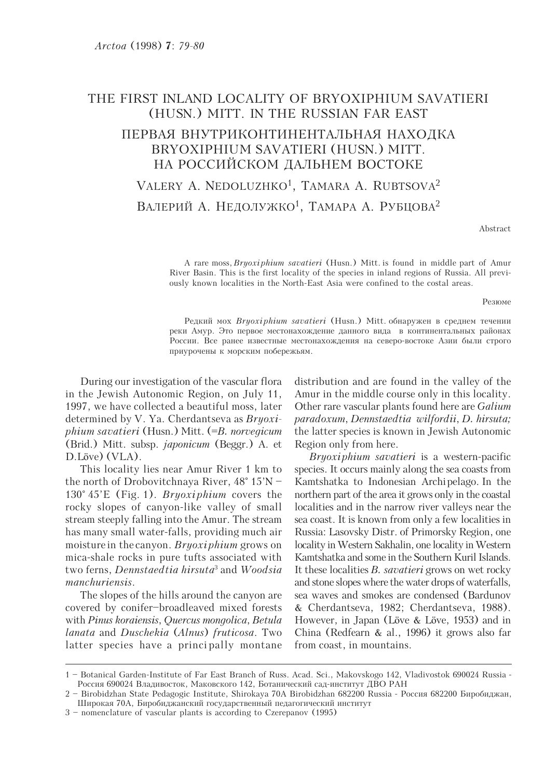## THE FIRST INLAND LOCALITY OF BRYOXIPHIUM SAVATIERI (HUSN.) MITT. IN THE RUSSIAN FAR EAST

## ПЕРВАЯ ВНУТРИКОНТИНЕНТАЛЬНАЯ НАХОДКА BRYOXIPHIUM SAVATIERI (HUSN.) MITT. НА РОССИЙСКОМ ДАЛЬНЕМ ВОСТОКЕ

# VALERY A. NEDOLUZHKO<sup>1</sup>, TAMARA A. RUBTSOVA<sup>2</sup> ВАЛЕРИЙ А. НЕДОЛУЖКО<sup>1</sup>, ТАМАРА А. РУБЦОВА<sup>2</sup>

Abstract

A rare moss, *Bryoxi phium savatieri* (Husn.) Mitt. is found in middle part of Amur River Basin. This is the first locality of the species in inland regions of Russia. All previously known localities in the North-East Asia were confined to the costal areas.

#### Резюме

Редкий мох Bryoxiphium savatieri (Husn.) Mitt. обнаружен в среднем течении реки Амур. Это первое местонахождение данного вида в континентальных районах России. Все ранее известные местонахождения на северо-востоке Азии были строго приурочены к морским побережьям.

During our investigation of the vascular flora in the Jewish Autonomic Region, on July 11, 1997, we have collected a beautiful moss, later determined by V. Ya. Cherdantseva as  $Bryoxi$ phium savatieri (Husn.) Mitt. (=B. norvegicum (Brid.) Mitt. subsp. japonicum (Beggr.) A. et D.Löve) (VLA).

This locality lies near Amur River 1 km to the north of Drobovitchnaya River, 48° 15'N – 130° 45'E (Fig. 1). Bryoxiphium covers the rocky slopes of canyon-like valley of small stream steeply falling into the Amur. The stream has many small water-falls, providing much air moisture in the canyon. Bryoxiphium grows on mica-shale rocks in pure tufts associated with two ferns, *Dennstaedtia hirsuta*<sup>3</sup> and *Woodsia* manchuriensis.

The slopes of the hills around the canyon are covered by conifer–broadleaved mixed forests with Pinus koraiensis, Quercus mongolica, Betula lanata and Duschekia (Alnus) fruticosa. Two latter species have a princi pally montane distribution and are found in the valley of the Amur in the middle course only in this locality. Other rare vascular plants found here are Galium paradoxum, Dennstaedtia wilfordii, D. hirsuta; the latter species is known in Jewish Autonomic Region only from here.

Bryoxiphium savatieri is a western-pacific species. It occurs mainly along the sea coasts from Kamtshatka to Indonesian Archipelago. In the northern part of the area it grows only in the coastal localities and in the narrow river valleys near the sea coast. It is known from only a few localities in Russia: Lasovsky Distr. of Primorsky Region, one locality in Western Sakhalin, one locality in Western Kamtshatka and some in the Southern Kuril Islands. It these localities B. savatieri grows on wet rocky and stone slopes where the water drops of waterfalls, sea waves and smokes are condensed (Bardunov & Cherdantseva, 1982; Cherdantseva, 1988). However, in Japan (Löve & Löve, 1953) and in China (Redfearn & al., 1996) it grows also far from coast, in mountains.

<sup>1 –</sup> Botanical Garden-Institute of Far East Branch of Russ. Acad. Sci., Makovskogo 142, Vladivostok 690024 Russia - Россия 690024 Владивосток, Маковского 142, Ботанический сад-институт ДВО РАН

<sup>2 –</sup> Birobidzhan State Pedagogic Institute, Shirokaya 70A Birobidzhan 682200 Russia - Россия 682200 Биробиджан, Широкая 70А, Биробиджанский государственный педагогический институт

<sup>3 –</sup> nomenclature of vascular plants is according to Czerepanov (1995)